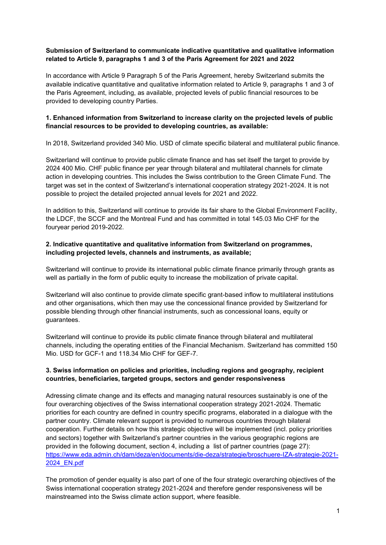## **Submission of Switzerland to communicate indicative quantitative and qualitative information related to Article 9, paragraphs 1 and 3 of the Paris Agreement for 2021 and 2022**

In accordance with Article 9 Paragraph 5 of the Paris Agreement, hereby Switzerland submits the available indicative quantitative and qualitative information related to Article 9, paragraphs 1 and 3 of the Paris Agreement, including, as available, projected levels of public financial resources to be provided to developing country Parties.

# **1. Enhanced information from Switzerland to increase clarity on the projected levels of public financial resources to be provided to developing countries, as available:**

In 2018, Switzerland provided 340 Mio. USD of climate specific bilateral and multilateral public finance.

Switzerland will continue to provide public climate finance and has set itself the target to provide by 2024 400 Mio. CHF public finance per year through bilateral and multilateral channels for climate action in developing countries. This includes the Swiss contribution to the Green Climate Fund. The target was set in the context of Switzerland's international cooperation strategy 2021-2024. It is not possible to project the detailed projected annual levels for 2021 and 2022.

In addition to this, Switzerland will continue to provide its fair share to the Global Environment Facility, the LDCF, the SCCF and the Montreal Fund and has committed in total 145.03 Mio CHF for the fouryear period 2019-2022.

## **2. Indicative quantitative and qualitative information from Switzerland on programmes, including projected levels, channels and instruments, as available;**

Switzerland will continue to provide its international public climate finance primarily through grants as well as partially in the form of public equity to increase the mobilization of private capital.

Switzerland will also continue to provide climate specific grant-based inflow to multilateral institutions and other organisations, which then may use the concessional finance provided by Switzerland for possible blending through other financial instruments, such as concessional loans, equity or guarantees.

Switzerland will continue to provide its public climate finance through bilateral and multilateral channels, including the operating entities of the Financial Mechanism. Switzerland has committed 150 Mio. USD for GCF-1 and 118.34 Mio CHF for GEF-7.

# **3. Swiss information on policies and priorities, including regions and geography, recipient countries, beneficiaries, targeted groups, sectors and gender responsiveness**

Adressing climate change and its effects and managing natural resources sustainably is one of the four overarching objectives of the Swiss international cooperation strategy 2021-2024. Thematic priorities for each country are defined in country specific programs, elaborated in a dialogue with the partner country. Climate relevant support is provided to numerous countries through bilateral cooperation. Further details on how this strategic objective will be implemented (incl. policy priorities and sectors) together with Switzerland's partner countries in the various geographic regions are provided in the following document, section 4, including a list of partner countries (page 27): [https://www.eda.admin.ch/dam/deza/en/documents/die-deza/strategie/broschuere-IZA-strategie-2021-](https://www.eda.admin.ch/dam/deza/en/documents/die-deza/strategie/broschuere-IZA-strategie-2021-2024_EN.pdf) [2024\\_EN.pdf](https://www.eda.admin.ch/dam/deza/en/documents/die-deza/strategie/broschuere-IZA-strategie-2021-2024_EN.pdf)

The promotion of gender equality is also part of one of the four strategic overarching objectives of the Swiss international cooperation strategy 2021-2024 and therefore gender responsiveness will be mainstreamed into the Swiss climate action support, where feasible.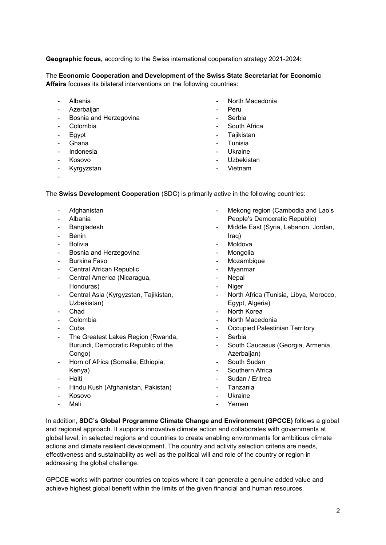**Geographic focus,** according to the Swiss international cooperation strategy 2021-2024**:**

# The **Economic Cooperation and Development of the Swiss State Secretariat for Economic Affairs** focuses its bilateral interventions on the following countries:

- Albania
- **Azerbaijan**
- Bosnia and Herzegovina
- **Colombia**
- **Egypt**
- **Ghana**
- Indonesia
- Kosovo
- Kyrgyzstan
- -
- North Macedonia
- Peru
- **Serbia**
- South Africa
- Tajikistan
- **Tunisia**
- Ukraine
- Uzbekistan
- Vietnam

The **Swiss Development Cooperation** (SDC) is primarily active in the following countries:

- **Afghanistan**
- Albania
- **Bangladesh**
- Benin
- Bolivia
- Bosnia and Herzegovina
- Burkina Faso
- Central African Republic
- Central America (Nicaragua, Honduras)
- Central Asia (Kyrgyzstan, Tajikistan, Uzbekistan)
- Chad
- Colombia
- Cuba
- The Greatest Lakes Region (Rwanda, Burundi, Democratic Republic of the Congo)
- Horn of Africa (Somalia, Ethiopia, Kenya)
- Haiti
- Hindu Kush (Afghanistan, Pakistan)
- Kosovo
- Mali
- Mekong region (Cambodia and Lao's People's Democratic Republic)
- Middle East (Syria, Lebanon, Jordan, Iraq)
- **Moldova**
- **Mongolia**
- **Mozambique**
- **Myanmar**
- **Nepal**
- **Niger**
- North Africa (Tunisia, Libya, Morocco, Egypt, Algeria)
- North Korea
- North Macedonia
- Occupied Palestinian Territory
- **Serbia**
- South Caucasus (Georgia, Armenia, Azerbaijan)
- South Sudan
- Southern Africa
- Sudan / Eritrea
- Tanzania
- **Ukraine**
- Yemen

In addition, **SDC's Global Programme Climate Change and Environment (GPCCE)** follows a global and regional approach. It supports innovative climate action and collaborates with governments at global level, in selected regions and countries to create enabling environments for ambitious climate actions and climate resilient development. The country and activity selection criteria are needs, effectiveness and sustainability as well as the political will and role of the country or region in addressing the global challenge.

GPCCE works with partner countries on topics where it can generate a genuine added value and achieve highest global benefit within the limits of the given financial and human resources.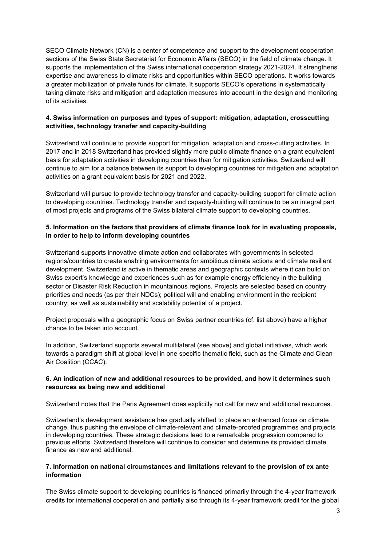SECO Climate Network (CN) is a center of competence and support to the development cooperation sections of the Swiss State Secretariat for Economic Affairs (SECO) in the field of climate change. It supports the implementation of the Swiss international cooperation strategy 2021-2024. It strengthens expertise and awareness to climate risks and opportunities within SECO operations. It works towards a greater mobilization of private funds for climate. It supports SECO's operations in systematically taking climate risks and mitigation and adaptation measures into account in the design and monitoring of its activities.

# **4. Swiss information on purposes and types of support: mitigation, adaptation, crosscutting activities, technology transfer and capacity-building**

Switzerland will continue to provide support for mitigation, adaptation and cross-cutting activities. In 2017 and in 2018 Switzerland has provided slightly more public climate finance on a grant equivalent basis for adaptation activities in developing countries than for mitigation activities. Switzerland will continue to aim for a balance between its support to developing countries for mitigation and adaptation activities on a grant equivalent basis for 2021 and 2022.

Switzerland will pursue to provide technology transfer and capacity-building support for climate action to developing countries. Technology transfer and capacity-building will continue to be an integral part of most projects and programs of the Swiss bilateral climate support to developing countries.

## **5. Information on the factors that providers of climate finance look for in evaluating proposals, in order to help to inform developing countries**

Switzerland supports innovative climate action and collaborates with governments in selected regions/countries to create enabling environments for ambitious climate actions and climate resilient development. Switzerland is active in thematic areas and geographic contexts where it can build on Swiss expert's knowledge and experiences such as for example energy efficiency in the building sector or Disaster Risk Reduction in mountainous regions. Projects are selected based on country priorities and needs (as per their NDCs); political will and enabling environment in the recipient country; as well as sustainability and scalability potential of a project.

Project proposals with a geographic focus on Swiss partner countries (cf. list above) have a higher chance to be taken into account.

In addition, Switzerland supports several multilateral (see above) and global initiatives, which work towards a paradigm shift at global level in one specific thematic field, such as the Climate and Clean Air Coalition (CCAC).

## **6. An indication of new and additional resources to be provided, and how it determines such resources as being new and additional**

Switzerland notes that the Paris Agreement does explicitly not call for new and additional resources.

Switzerland's development assistance has gradually shifted to place an enhanced focus on climate change, thus pushing the envelope of climate-relevant and climate-proofed programmes and projects in developing countries. These strategic decisions lead to a remarkable progression compared to previous efforts. Switzerland therefore will continue to consider and determine its provided climate finance as new and additional.

#### **7. Information on national circumstances and limitations relevant to the provision of ex ante information**

The Swiss climate support to developing countries is financed primarily through the 4-year framework credits for international cooperation and partially also through its 4-year framework credit for the global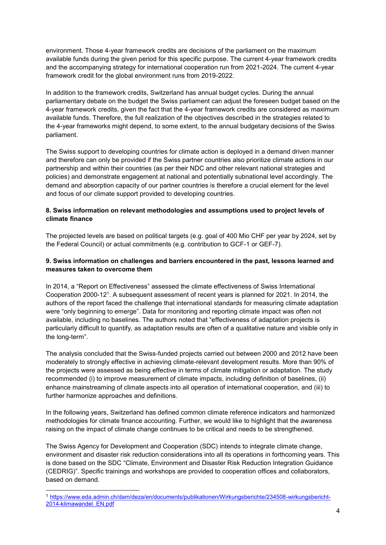environment. Those 4-year framework credits are decisions of the parliament on the maximum available funds during the given period for this specific purpose. The current 4-year framework credits and the accompanying strategy for international cooperation run from 2021-2024. The current 4-year framework credit for the global environment runs from 2019-2022.

In addition to the framework credits, Switzerland has annual budget cycles. During the annual parliamentary debate on the budget the Swiss parliament can adjust the foreseen budget based on the 4-year framework credits, given the fact that the 4-year framework credits are considered as maximum available funds. Therefore, the full realization of the objectives described in the strategies related to the 4-year frameworks might depend, to some extent, to the annual budgetary decisions of the Swiss parliament.

The Swiss support to developing countries for climate action is deployed in a demand driven manner and therefore can only be provided if the Swiss partner countries also prioritize climate actions in our partnership and within their countries (as per their NDC and other relevant national strategies and policies) and demonstrate engagement at national and potentially subnational level accordingly. The demand and absorption capacity of our partner countries is therefore a crucial element for the level and focus of our climate support provided to developing countries.

# **8. Swiss information on relevant methodologies and assumptions used to project levels of climate finance**

The projected levels are based on political targets (e.g. goal of 400 Mio CHF per year by 2024, set by the Federal Council) or actual commitments (e.g. contribution to GCF-1 or GEF-7).

# **9. Swiss information on challenges and barriers encountered in the past, lessons learned and measures taken to overcome them**

In 2014, a "Report on Effectiveness" assessed the climate effectiveness of Swiss International Cooperation 2000-12<sup>1</sup>. A subsequent assessment of recent years is planned for 2021. In 2014, the authors of the report faced the challenge that international standards for measuring climate adaptation were "only beginning to emerge". Data for monitoring and reporting climate impact was often not available, including no baselines. The authors noted that "effectiveness of adaptation projects is particularly difficult to quantify, as adaptation results are often of a qualitative nature and visible only in the long-term".

The analysis concluded that the Swiss-funded projects carried out between 2000 and 2012 have been moderately to strongly effective in achieving climate-relevant development results. More than 90% of the projects were assessed as being effective in terms of climate mitigation or adaptation. The study recommended (i) to improve measurement of climate impacts, including definition of baselines, (ii) enhance mainstreaming of climate aspects into all operation of international cooperation, and (iii) to further harmonize approaches and definitions.

In the following years, Switzerland has defined common climate reference indicators and harmonized methodologies for climate finance accounting. Further, we would like to highlight that the awareness raising on the impact of climate change continues to be critical and needs to be strengthened.

The Swiss Agency for Development and Cooperation (SDC) intends to integrate climate change, environment and disaster risk reduction considerations into all its operations in forthcoming years. This is done based on the SDC "Climate, Environment and Disaster Risk Reduction Integration Guidance (CEDRIG)". Specific trainings and workshops are provided to cooperation offices and collaborators, based on demand.

-

<sup>1</sup> [https://www.eda.admin.ch/dam/deza/en/documents/publikationen/Wirkungsberichte/234508-wirkungsbericht-](https://www.eda.admin.ch/dam/deza/en/documents/publikationen/Wirkungsberichte/234508-wirkungsbericht-2014-klimawandel_EN.pdf)[2014-klimawandel\\_EN.pdf](https://www.eda.admin.ch/dam/deza/en/documents/publikationen/Wirkungsberichte/234508-wirkungsbericht-2014-klimawandel_EN.pdf)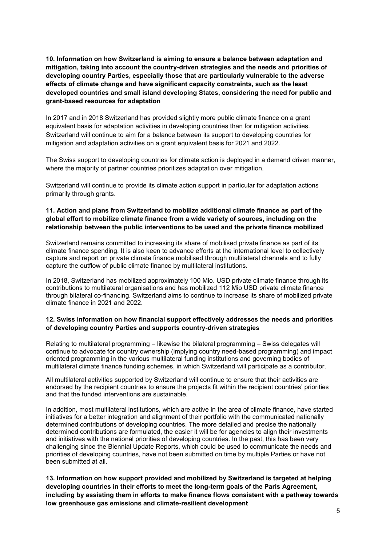**10. Information on how Switzerland is aiming to ensure a balance between adaptation and mitigation, taking into account the country-driven strategies and the needs and priorities of developing country Parties, especially those that are particularly vulnerable to the adverse effects of climate change and have significant capacity constraints, such as the least developed countries and small island developing States, considering the need for public and grant-based resources for adaptation**

In 2017 and in 2018 Switzerland has provided slightly more public climate finance on a grant equivalent basis for adaptation activities in developing countries than for mitigation activities. Switzerland will continue to aim for a balance between its support to developing countries for mitigation and adaptation activities on a grant equivalent basis for 2021 and 2022.

The Swiss support to developing countries for climate action is deployed in a demand driven manner, where the majority of partner countries prioritizes adaptation over mitigation.

Switzerland will continue to provide its climate action support in particular for adaptation actions primarily through grants.

## **11. Action and plans from Switzerland to mobilize additional climate finance as part of the global effort to mobilize climate finance from a wide variety of sources, including on the relationship between the public interventions to be used and the private finance mobilized**

Switzerland remains committed to increasing its share of mobilised private finance as part of its climate finance spending. It is also keen to advance efforts at the international level to collectively capture and report on private climate finance mobilised through multilateral channels and to fully capture the outflow of public climate finance by multilateral institutions.

In 2018, Switzerland has mobilized approximately 100 Mio. USD private climate finance through its contributions to multilateral organisations and has mobilized 112 Mio USD private climate finance through bilateral co-financing. Switzerland aims to continue to increase its share of mobilized private climate finance in 2021 and 2022.

## **12. Swiss information on how financial support effectively addresses the needs and priorities of developing country Parties and supports country-driven strategies**

Relating to multilateral programming – likewise the bilateral programming – Swiss delegates will continue to advocate for country ownership (implying country need-based programming) and impact oriented programming in the various multilateral funding institutions and governing bodies of multilateral climate finance funding schemes, in which Switzerland will participate as a contributor.

All multilateral activities supported by Switzerland will continue to ensure that their activities are endorsed by the recipient countries to ensure the projects fit within the recipient countries' priorities and that the funded interventions are sustainable.

In addition, most multilateral institutions, which are active in the area of climate finance, have started initiatives for a better integration and alignment of their portfolio with the communicated nationally determined contributions of developing countries. The more detailed and precise the nationally determined contributions are formulated, the easier it will be for agencies to align their investments and initiatives with the national priorities of developing countries. In the past, this has been very challenging since the Biennial Update Reports, which could be used to communicate the needs and priorities of developing countries, have not been submitted on time by multiple Parties or have not been submitted at all.

**13. Information on how support provided and mobilized by Switzerland is targeted at helping developing countries in their efforts to meet the long-term goals of the Paris Agreement, including by assisting them in efforts to make finance flows consistent with a pathway towards low greenhouse gas emissions and climate-resilient development**